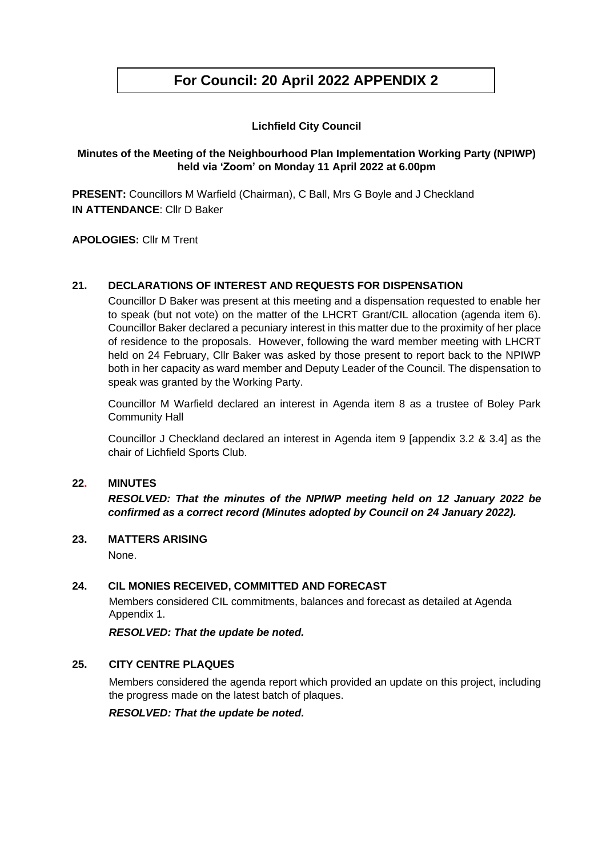# **For Council: 20 April 2022 APPENDIX 2**

# **Lichfield City Council**

# **Minutes of the Meeting of the Neighbourhood Plan Implementation Working Party (NPIWP) held via 'Zoom' on Monday 11 April 2022 at 6.00pm**

**PRESENT:** Councillors M Warfield (Chairman), C Ball, Mrs G Boyle and J Checkland **IN ATTENDANCE**: Cllr D Baker

**APOLOGIES:** Cllr M Trent

## **21. DECLARATIONS OF INTEREST AND REQUESTS FOR DISPENSATION**

Councillor D Baker was present at this meeting and a dispensation requested to enable her to speak (but not vote) on the matter of the LHCRT Grant/CIL allocation (agenda item 6). Councillor Baker declared a pecuniary interest in this matter due to the proximity of her place of residence to the proposals. However, following the ward member meeting with LHCRT held on 24 February, Cllr Baker was asked by those present to report back to the NPIWP both in her capacity as ward member and Deputy Leader of the Council. The dispensation to speak was granted by the Working Party.

Councillor M Warfield declared an interest in Agenda item 8 as a trustee of Boley Park Community Hall

Councillor J Checkland declared an interest in Agenda item 9 [appendix 3.2 & 3.4] as the chair of Lichfield Sports Club.

#### **22. MINUTES**

*RESOLVED: That the minutes of the NPIWP meeting held on 12 January 2022 be confirmed as a correct record (Minutes adopted by Council on 24 January 2022).*

#### **23. MATTERS ARISING**

None.

#### **24. CIL MONIES RECEIVED, COMMITTED AND FORECAST**

Members considered CIL commitments, balances and forecast as detailed at Agenda Appendix 1.

*RESOLVED: That the update be noted.*

#### **25. CITY CENTRE PLAQUES**

Members considered the agenda report which provided an update on this project, including the progress made on the latest batch of plaques.

*RESOLVED: That the update be noted.*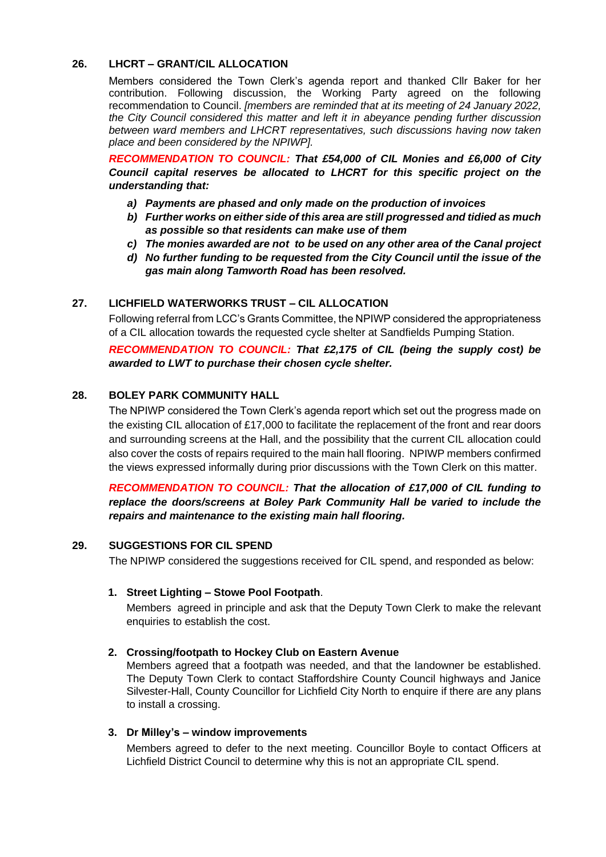# **26. LHCRT – GRANT/CIL ALLOCATION**

Members considered the Town Clerk's agenda report and thanked Cllr Baker for her contribution. Following discussion, the Working Party agreed on the following recommendation to Council. *[members are reminded that at its meeting of 24 January 2022, the City Council considered this matter and left it in abeyance pending further discussion between ward members and LHCRT representatives, such discussions having now taken place and been considered by the NPIWP].*

*RECOMMENDATION TO COUNCIL: That £54,000 of CIL Monies and £6,000 of City Council capital reserves be allocated to LHCRT for this specific project on the understanding that:*

- *a) Payments are phased and only made on the production of invoices*
- *b) Further works on either side of this area are still progressed and tidied as much as possible so that residents can make use of them*
- *c) The monies awarded are not to be used on any other area of the Canal project*
- *d) No further funding to be requested from the City Council until the issue of the gas main along Tamworth Road has been resolved.*

## **27. LICHFIELD WATERWORKS TRUST – CIL ALLOCATION**

Following referral from LCC's Grants Committee, the NPIWP considered the appropriateness of a CIL allocation towards the requested cycle shelter at Sandfields Pumping Station.

*RECOMMENDATION TO COUNCIL: That £2,175 of CIL (being the supply cost) be awarded to LWT to purchase their chosen cycle shelter.*

## **28. BOLEY PARK COMMUNITY HALL**

The NPIWP considered the Town Clerk's agenda report which set out the progress made on the existing CIL allocation of £17,000 to facilitate the replacement of the front and rear doors and surrounding screens at the Hall, and the possibility that the current CIL allocation could also cover the costs of repairs required to the main hall flooring. NPIWP members confirmed the views expressed informally during prior discussions with the Town Clerk on this matter.

# *RECOMMENDATION TO COUNCIL: That the allocation of £17,000 of CIL funding to replace the doors/screens at Boley Park Community Hall be varied to include the repairs and maintenance to the existing main hall flooring.*

#### **29. SUGGESTIONS FOR CIL SPEND**

The NPIWP considered the suggestions received for CIL spend, and responded as below:

#### **1. Street Lighting – Stowe Pool Footpath**.

Members agreed in principle and ask that the Deputy Town Clerk to make the relevant enquiries to establish the cost.

#### **2. Crossing/footpath to Hockey Club on Eastern Avenue**

Members agreed that a footpath was needed, and that the landowner be established. The Deputy Town Clerk to contact Staffordshire County Council highways and Janice Silvester-Hall, County Councillor for Lichfield City North to enquire if there are any plans to install a crossing.

#### **3. Dr Milley's – window improvements**

Members agreed to defer to the next meeting. Councillor Boyle to contact Officers at Lichfield District Council to determine why this is not an appropriate CIL spend.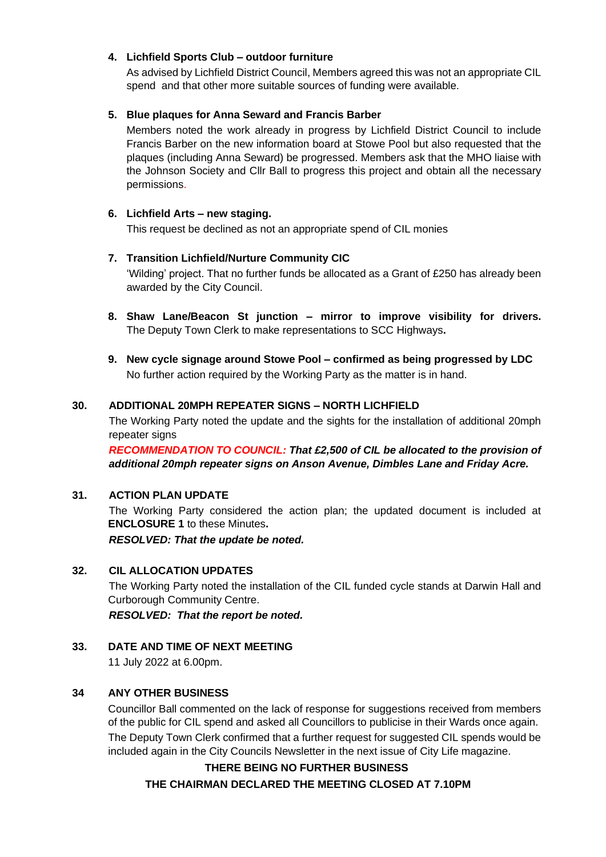# **4. Lichfield Sports Club – outdoor furniture**

As advised by Lichfield District Council, Members agreed this was not an appropriate CIL spend and that other more suitable sources of funding were available.

## **5. Blue plaques for Anna Seward and Francis Barber**

Members noted the work already in progress by Lichfield District Council to include Francis Barber on the new information board at Stowe Pool but also requested that the plaques (including Anna Seward) be progressed. Members ask that the MHO liaise with the Johnson Society and Cllr Ball to progress this project and obtain all the necessary permissions.

#### **6. Lichfield Arts – new staging.**

This request be declined as not an appropriate spend of CIL monies

## **7. Transition Lichfield/Nurture Community CIC**

'Wilding' project. That no further funds be allocated as a Grant of £250 has already been awarded by the City Council.

- **8. Shaw Lane/Beacon St junction – mirror to improve visibility for drivers.**  The Deputy Town Clerk to make representations to SCC Highways**.**
- **9. New cycle signage around Stowe Pool – confirmed as being progressed by LDC** No further action required by the Working Party as the matter is in hand.

## **30. ADDITIONAL 20MPH REPEATER SIGNS – NORTH LICHFIELD**

The Working Party noted the update and the sights for the installation of additional 20mph repeater signs

*RECOMMENDATION TO COUNCIL: That £2,500 of CIL be allocated to the provision of additional 20mph repeater signs on Anson Avenue, Dimbles Lane and Friday Acre.* 

# **31. ACTION PLAN UPDATE**

The Working Party considered the action plan; the updated document is included at **ENCLOSURE 1** to these Minutes**.** *RESOLVED: That the update be noted.*

#### **32. CIL ALLOCATION UPDATES**

The Working Party noted the installation of the CIL funded cycle stands at Darwin Hall and Curborough Community Centre.

*RESOLVED: That the report be noted.*

# **33. DATE AND TIME OF NEXT MEETING**

11 July 2022 at 6.00pm.

# **34 ANY OTHER BUSINESS**

Councillor Ball commented on the lack of response for suggestions received from members of the public for CIL spend and asked all Councillors to publicise in their Wards once again.

The Deputy Town Clerk confirmed that a further request for suggested CIL spends would be included again in the City Councils Newsletter in the next issue of City Life magazine.

#### **THERE BEING NO FURTHER BUSINESS**

**THE CHAIRMAN DECLARED THE MEETING CLOSED AT 7.10PM**